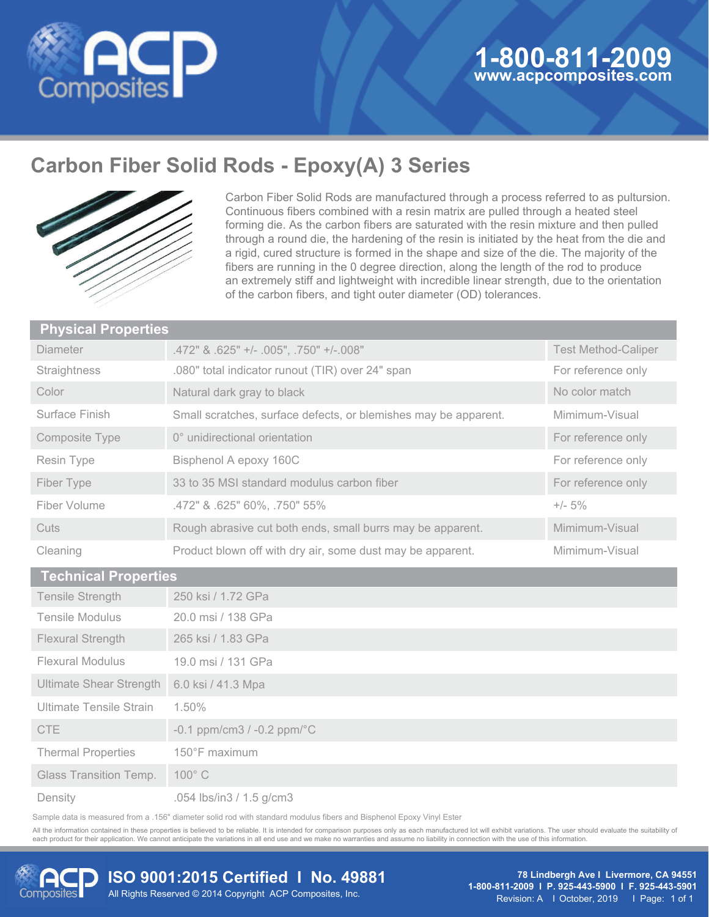

# **Carbon Fiber Solid Rods - Epoxy(A) 3 Series**



Carbon Fiber Solid Rods are manufactured through a process referred to as pultursion. Continuous fibers combined with a resin matrix are pulled through a heated steel forming die. As the carbon fibers are saturated with the resin mixture and then pulled through a round die, the hardening of the resin is initiated by the heat from the die and a rigid, cured structure is formed in the shape and size of the die. The majority of the fibers are running in the 0 degree direction, along the length of the rod to produce an extremely stiff and lightweight with incredible linear strength, due to the orientation of the carbon fibers, and tight outer diameter (OD) tolerances.

| <b>Physical Properties</b>     |                                                                 |                            |
|--------------------------------|-----------------------------------------------------------------|----------------------------|
| <b>Diameter</b>                | .472" & .625" +/- .005", .750" +/-.008"                         | <b>Test Method-Caliper</b> |
| Straightness                   | .080" total indicator runout (TIR) over 24" span                | For reference only         |
| Color                          | Natural dark gray to black                                      | No color match             |
| Surface Finish                 | Small scratches, surface defects, or blemishes may be apparent. | Mimimum-Visual             |
| Composite Type                 | 0° unidirectional orientation                                   | For reference only         |
| Resin Type                     | Bisphenol A epoxy 160C                                          | For reference only         |
| Fiber Type                     | 33 to 35 MSI standard modulus carbon fiber                      | For reference only         |
| Fiber Volume                   | .472" & .625" 60%, .750" 55%                                    | $+/- 5%$                   |
| Cuts                           | Rough abrasive cut both ends, small burrs may be apparent.      | Mimimum-Visual             |
| Cleaning                       | Product blown off with dry air, some dust may be apparent.      | Mimimum-Visual             |
| <b>Technical Properties</b>    |                                                                 |                            |
| Tensile Strength               | 250 ksi / 1.72 GPa                                              |                            |
| <b>Tensile Modulus</b>         | 20.0 msi / 138 GPa                                              |                            |
| Flexural Strength              | 265 ksi / 1.83 GPa                                              |                            |
| <b>Flexural Modulus</b>        | 19.0 msi / 131 GPa                                              |                            |
| <b>Ultimate Shear Strength</b> | 6.0 ksi / 41.3 Mpa                                              |                            |
| Ultimate Tensile Strain        | 1.50%                                                           |                            |
| <b>CTE</b>                     | $-0.1$ ppm/cm3 / $-0.2$ ppm/ $\degree$ C                        |                            |
| <b>Thermal Properties</b>      | 150°F maximum                                                   |                            |

**Density** 

Glass Transition Temp.

.054 lbs/in3 / 1.5 g/cm3

100° C

Sample data is measured from a .156" diameter solid rod with standard modulus fibers and Bisphenol Epoxy Vinyl Ester

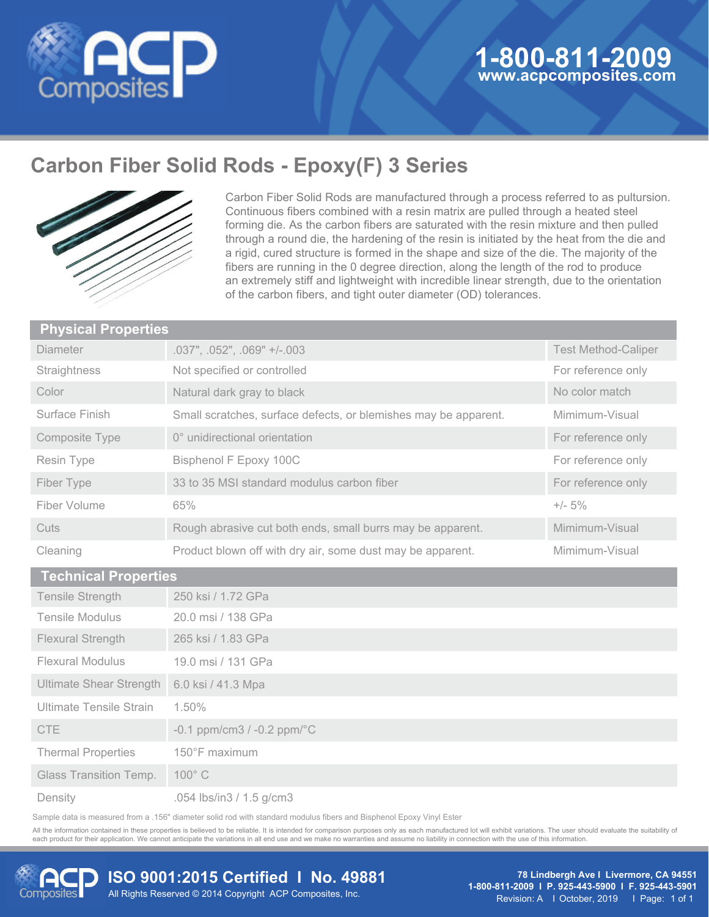

# **Carbon Fiber Solid Rods - Epoxy(F) 3 Series**



Carbon Fiber Solid Rods are manufactured through a process referred to as pultursion. Continuous fibers combined with a resin matrix are pulled through a heated steel forming die. As the carbon fibers are saturated with the resin mixture and then pulled through a round die, the hardening of the resin is initiated by the heat from the die and a rigid, cured structure is formed in the shape and size of the die. The majority of the fibers are running in the 0 degree direction, along the length of the rod to produce an extremely stiff and lightweight with incredible linear strength, due to the orientation of the carbon fibers, and tight outer diameter (OD) tolerances.

| <b>Physical Properties</b>  |                                                                 |                            |
|-----------------------------|-----------------------------------------------------------------|----------------------------|
| <b>Diameter</b>             | .037", .052", .069" +/-.003                                     | <b>Test Method-Caliper</b> |
| Straightness                | Not specified or controlled                                     | For reference only         |
| Color                       | Natural dark gray to black                                      | No color match             |
| Surface Finish              | Small scratches, surface defects, or blemishes may be apparent. | Mimimum-Visual             |
| Composite Type              | 0° unidirectional orientation                                   | For reference only         |
| Resin Type                  | Bisphenol F Epoxy 100C                                          | For reference only         |
| Fiber Type                  | 33 to 35 MSI standard modulus carbon fiber                      | For reference only         |
| Fiber Volume                | 65%                                                             | $+/- 5\%$                  |
| Cuts                        | Rough abrasive cut both ends, small burrs may be apparent.      | Mimimum-Visual             |
| Cleaning                    | Product blown off with dry air, some dust may be apparent.      | Mimimum-Visual             |
| <b>Technical Properties</b> |                                                                 |                            |

| <b>Tecnnical Properties</b>    |                                               |
|--------------------------------|-----------------------------------------------|
| <b>Tensile Strength</b>        | 250 ksi / 1.72 GPa                            |
| <b>Tensile Modulus</b>         | 20.0 msi / 138 GPa                            |
| <b>Flexural Strength</b>       | 265 ksi / 1.83 GPa                            |
| <b>Flexural Modulus</b>        | 19.0 msi / 131 GPa                            |
| <b>Ultimate Shear Strength</b> | 6.0 ksi / 41.3 Mpa                            |
| Ultimate Tensile Strain        | 1.50%                                         |
| CTE                            | $-0.1$ ppm/cm3 / $-0.2$ ppm/ $\rm{^{\circ}C}$ |
| <b>Thermal Properties</b>      | 150°F maximum                                 |
| <b>Glass Transition Temp.</b>  | 100°C                                         |
| Density                        | .054 lbs/in3 / 1.5 g/cm3                      |

Sample data is measured from a .156" diameter solid rod with standard modulus fibers and Bisphenol Epoxy Vinyl Ester

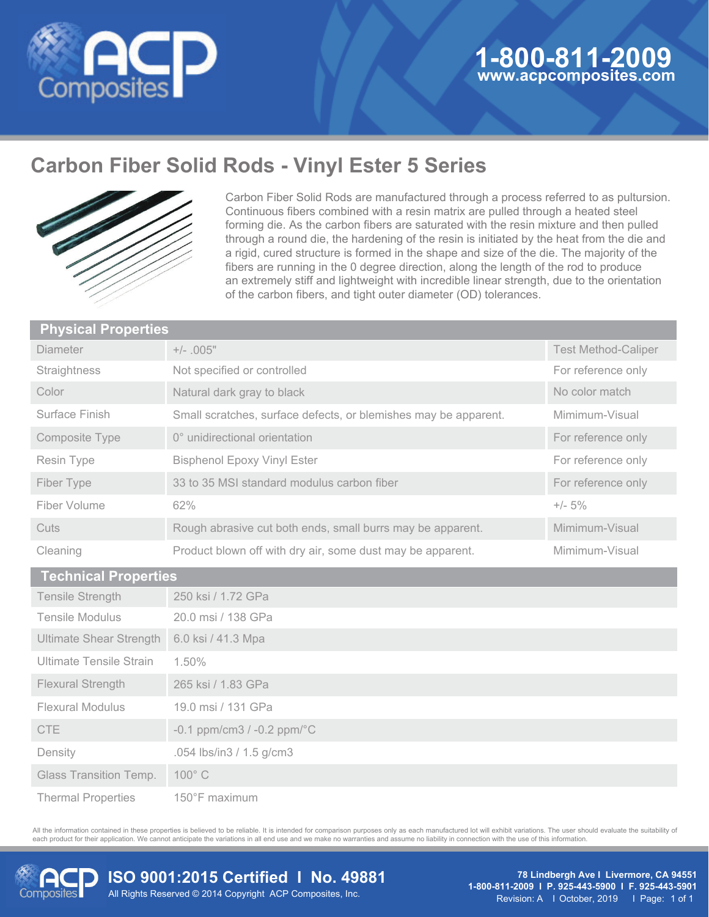

## **Carbon Fiber Solid Rods - Vinyl Ester 5 Series**



Carbon Fiber Solid Rods are manufactured through a process referred to as pultursion. Continuous fibers combined with a resin matrix are pulled through a heated steel forming die. As the carbon fibers are saturated with the resin mixture and then pulled through a round die, the hardening of the resin is initiated by the heat from the die and a rigid, cured structure is formed in the shape and size of the die. The majority of the fibers are running in the 0 degree direction, along the length of the rod to produce an extremely stiff and lightweight with incredible linear strength, due to the orientation of the carbon fibers, and tight outer diameter (OD) tolerances.

| <b>Physical Properties</b>     |                                                                 |                            |
|--------------------------------|-----------------------------------------------------------------|----------------------------|
| Diameter                       | $+/- .005"$                                                     | <b>Test Method-Caliper</b> |
| Straightness                   | Not specified or controlled                                     | For reference only         |
| Color                          | Natural dark gray to black                                      | No color match             |
| Surface Finish                 | Small scratches, surface defects, or blemishes may be apparent. | Mimimum-Visual             |
| Composite Type                 | 0° unidirectional orientation                                   | For reference only         |
| Resin Type                     | <b>Bisphenol Epoxy Vinyl Ester</b>                              | For reference only         |
| Fiber Type                     | 33 to 35 MSI standard modulus carbon fiber                      | For reference only         |
| Fiber Volume                   | 62%                                                             | $+/- 5%$                   |
| Cuts                           | Rough abrasive cut both ends, small burrs may be apparent.      | Mimimum-Visual             |
| Cleaning                       | Product blown off with dry air, some dust may be apparent.      | Mimimum-Visual             |
| <b>Technical Properties</b>    |                                                                 |                            |
| <b>Tensile Strength</b>        | 250 ksi / 1.72 GPa                                              |                            |
| Tensile Modulus                | 20.0 msi / 138 GPa                                              |                            |
| <b>Ultimate Shear Strength</b> | 6.0 ksi / 41.3 Mpa                                              |                            |
| Ultimate Tensile Strain        | 1.50%                                                           |                            |
| <b>Flexural Strength</b>       | 265 ksi / 1.83 GPa                                              |                            |

| <b>Flexural Modulus</b>   | 19.0 msi / 131 GPa                       |
|---------------------------|------------------------------------------|
| CTE                       | $-0.1$ ppm/cm3 / $-0.2$ ppm/ $\degree$ C |
| Density                   | .054 lbs/in3 / 1.5 g/cm3                 |
| Glass Transition Temp.    | $100^{\circ}$ C                          |
| <b>Thermal Properties</b> | 150°F maximum                            |

Thermal Properties

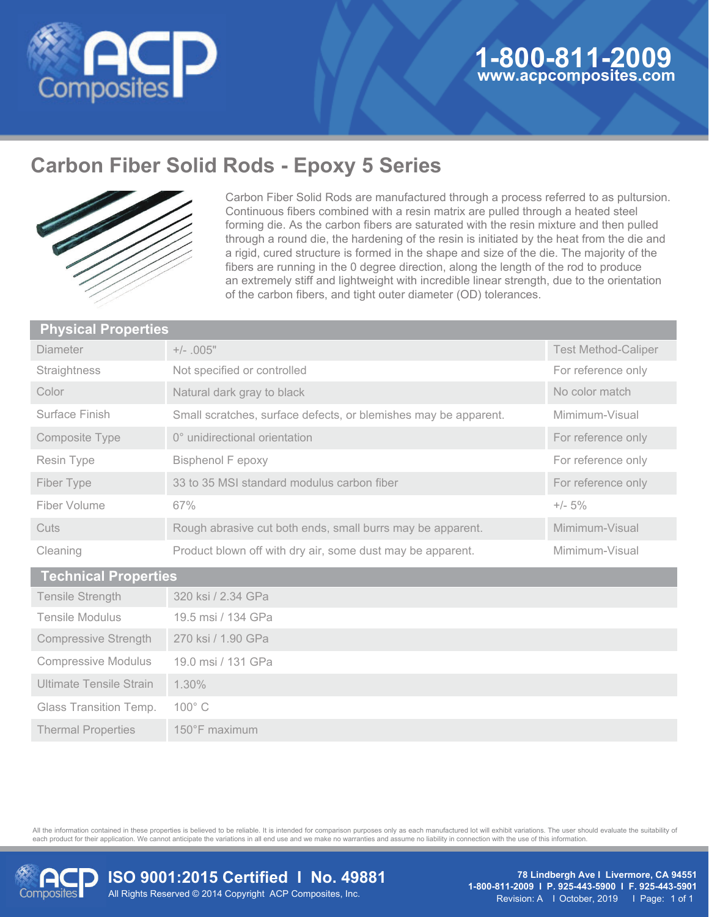

## **Carbon Fiber Solid Rods - Epoxy 5 Series**



Carbon Fiber Solid Rods are manufactured through a process referred to as pultursion. Continuous fibers combined with a resin matrix are pulled through a heated steel forming die. As the carbon fibers are saturated with the resin mixture and then pulled through a round die, the hardening of the resin is initiated by the heat from the die and a rigid, cured structure is formed in the shape and size of the die. The majority of the fibers are running in the 0 degree direction, along the length of the rod to produce an extremely stiff and lightweight with incredible linear strength, due to the orientation of the carbon fibers, and tight outer diameter (OD) tolerances.

| <b>Physical Properties</b>  |                                                                 |                            |
|-----------------------------|-----------------------------------------------------------------|----------------------------|
| Diameter                    | $+/-$ .005"                                                     | <b>Test Method-Caliper</b> |
| Straightness                | Not specified or controlled                                     | For reference only         |
| Color                       | Natural dark gray to black                                      | No color match             |
| Surface Finish              | Small scratches, surface defects, or blemishes may be apparent. | Mimimum-Visual             |
| <b>Composite Type</b>       | 0° unidirectional orientation                                   | For reference only         |
| Resin Type                  | <b>Bisphenol F epoxy</b>                                        | For reference only         |
| Fiber Type                  | 33 to 35 MSI standard modulus carbon fiber                      | For reference only         |
| Fiber Volume                | 67%                                                             | $+/- 5\%$                  |
| Cuts                        | Rough abrasive cut both ends, small burrs may be apparent.      | Mimimum-Visual             |
| Cleaning                    | Product blown off with dry air, some dust may be apparent.      | Mimimum-Visual             |
| <b>Technical Properties</b> |                                                                 |                            |

| <b>Tensile Strength</b>        | 320 ksi / 2.34 GPa |
|--------------------------------|--------------------|
| <b>Tensile Modulus</b>         | 19.5 msi / 134 GPa |
| Compressive Strength           | 270 ksi / 1.90 GPa |
| <b>Compressive Modulus</b>     | 19.0 msi / 131 GPa |
| <b>Ultimate Tensile Strain</b> | $1.30\%$           |
| <b>Glass Transition Temp.</b>  | $100^{\circ}$ C    |
| <b>Thermal Properties</b>      | 150°F maximum      |